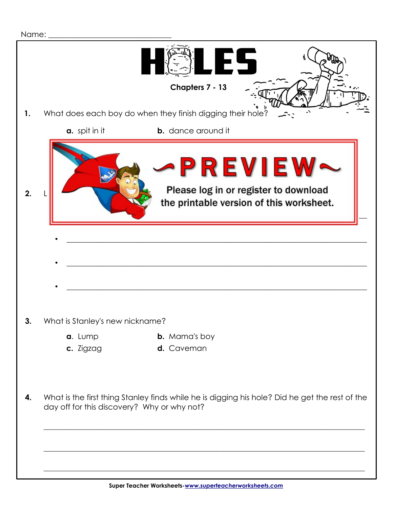| a. spit in it                               | L 65<br>Chapters 7 - 13<br>What does each boy do when they finish digging their hole?<br><b>b.</b> dance around it |
|---------------------------------------------|--------------------------------------------------------------------------------------------------------------------|
|                                             |                                                                                                                    |
|                                             |                                                                                                                    |
|                                             |                                                                                                                    |
|                                             |                                                                                                                    |
|                                             | <b>-PREVIEW</b><br>Please log in or register to download<br>the printable version of this worksheet.               |
|                                             |                                                                                                                    |
|                                             |                                                                                                                    |
|                                             |                                                                                                                    |
|                                             |                                                                                                                    |
|                                             |                                                                                                                    |
| What is Stanley's new nickname?             |                                                                                                                    |
| a. Lump                                     | <b>b.</b> Mama's boy                                                                                               |
| c. Zigzag                                   | d. Caveman                                                                                                         |
|                                             |                                                                                                                    |
| day off for this discovery? Why or why not? | What is the first thing Stanley finds while he is digging his hole? Did he get the rest of the                     |
|                                             |                                                                                                                    |
|                                             |                                                                                                                    |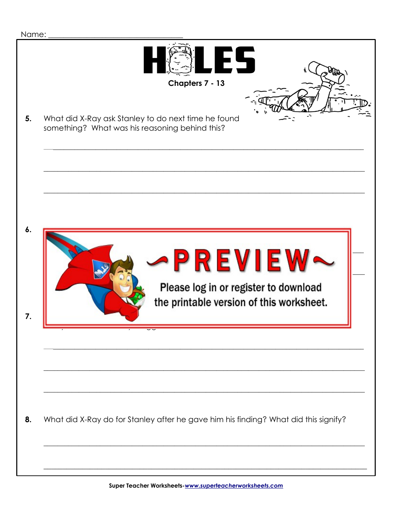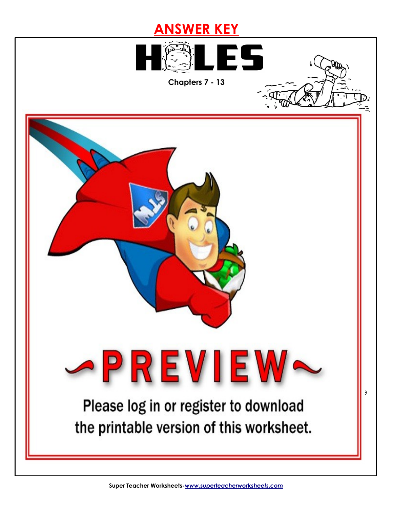## **ANSWER KEY**